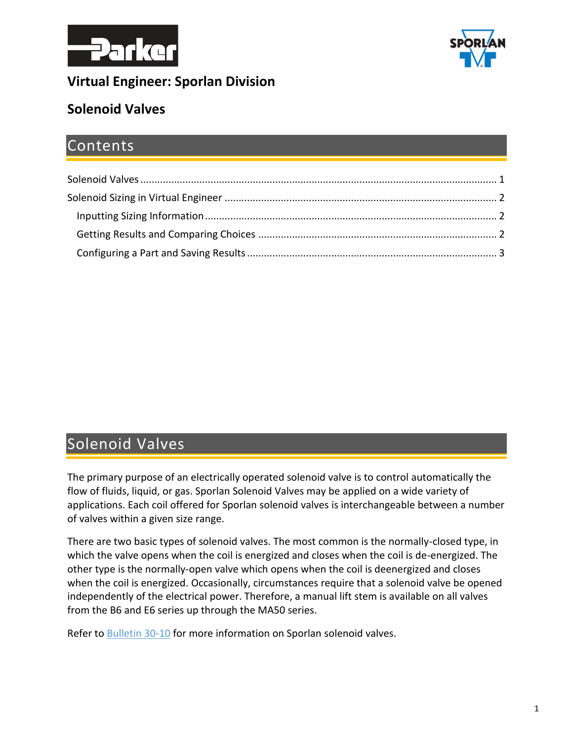



### **Virtual Engineer: Sporlan Division**

## **Solenoid Valves**

## Contents

## <span id="page-0-0"></span>Solenoid Valves

The primary purpose of an electrically operated solenoid valve is to control automatically the flow of fluids, liquid, or gas. Sporlan Solenoid Valves may be applied on a wide variety of applications. Each coil offered for Sporlan solenoid valves is interchangeable between a number of valves within a given size range.

There are two basic types of solenoid valves. The most common is the normally-closed type, in which the valve opens when the coil is energized and closes when the coil is de-energized. The other type is the normally-open valve which opens when the coil is deenergized and closes when the coil is energized. Occasionally, circumstances require that a solenoid valve be opened independently of the electrical power. Therefore, a manual lift stem is available on all valves from the B6 and E6 series up through the MA50 series.

Refer to [Bulletin 30-10](https://www.parker.com/literature/Sporlan/Sporlan%20pdf%20files/Sporlan%20pdf%20030/30-10%20Solenoid%20Valves.pdf?elqTrackId=f6b5d98ff30e43b18aa0e0d3c00a572c&elqaid=10089&elqat=2) for more information on Sporlan solenoid valves.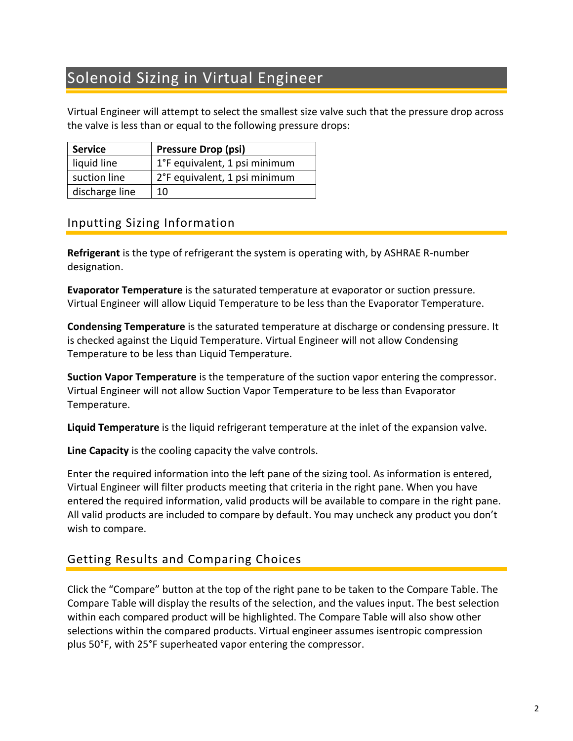# <span id="page-1-0"></span>Solenoid Sizing in Virtual Engineer

Virtual Engineer will attempt to select the smallest size valve such that the pressure drop across the valve is less than or equal to the following pressure drops:

| <b>Service</b> | <b>Pressure Drop (psi)</b>    |
|----------------|-------------------------------|
| liquid line    | 1°F equivalent, 1 psi minimum |
| suction line   | 2°F equivalent, 1 psi minimum |
| discharge line | 10                            |

#### <span id="page-1-1"></span>Inputting Sizing Information

**Refrigerant** is the type of refrigerant the system is operating with, by ASHRAE R-number designation.

**Evaporator Temperature** is the saturated temperature at evaporator or suction pressure. Virtual Engineer will allow Liquid Temperature to be less than the Evaporator Temperature.

**Condensing Temperature** is the saturated temperature at discharge or condensing pressure. It is checked against the Liquid Temperature. Virtual Engineer will not allow Condensing Temperature to be less than Liquid Temperature.

**Suction Vapor Temperature** is the temperature of the suction vapor entering the compressor. Virtual Engineer will not allow Suction Vapor Temperature to be less than Evaporator Temperature.

**Liquid Temperature** is the liquid refrigerant temperature at the inlet of the expansion valve.

**Line Capacity** is the cooling capacity the valve controls.

Enter the required information into the left pane of the sizing tool. As information is entered, Virtual Engineer will filter products meeting that criteria in the right pane. When you have entered the required information, valid products will be available to compare in the right pane. All valid products are included to compare by default. You may uncheck any product you don't wish to compare.

### <span id="page-1-2"></span>Getting Results and Comparing Choices

Click the "Compare" button at the top of the right pane to be taken to the Compare Table. The Compare Table will display the results of the selection, and the values input. The best selection within each compared product will be highlighted. The Compare Table will also show other selections within the compared products. Virtual engineer assumes isentropic compression plus 50°F, with 25°F superheated vapor entering the compressor.